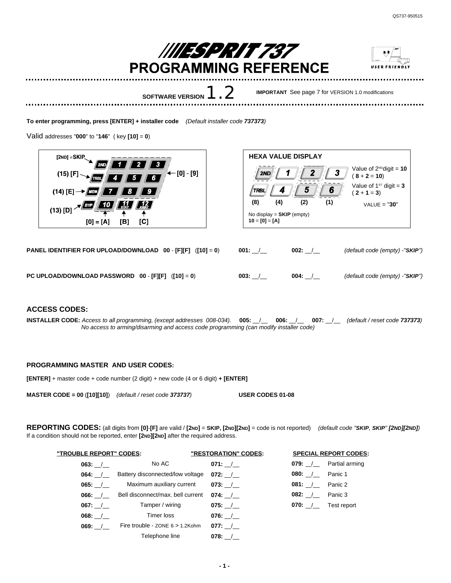

**To enter programming, press [ENTER] + installer code** *(Default installer code 737373)*

Valid addresses "**000**" to "**146**" ( key **[10]** = **0**)





**PANEL IDENTIFIER FOR UPLOAD/DOWNLOAD 00** - **[F][F]** (**[10]** = **0**) **001:** \_\_/\_\_ **002:** \_\_/\_\_ *(default code (empty) -"SKIP")*

**PC UPLOAD/DOWNLOAD PASSWORD 00** - **[F][F]** (**[10]** = **0**) **003:** \_\_/\_\_ **004:** \_\_/\_\_ *(default code (empty) -"SKIP")*



## **ACCESS CODES:**

**INSTALLER CODE:** *Access to all programming, (except addresses 008-034).* **005:** \_\_/\_\_ **006:** \_\_/\_\_ **007:** \_\_/\_\_ *(default / reset code 737373) No access to arming/disarming and access code programming (can modify installer code)*

## **PROGRAMMING MASTER AND USER CODES:**

**[ENTER]** + master code + code number (2 digit) + new code (4 or 6 digit) **+ [ENTER]**

**MASTER CODE = 00** (**[10][10]**) *(default / reset code 373737)* **USER CODES 01-08**

REPORTING CODES: (all digits from [0]-[F] are valid / [2ND] = SKIP, [2ND][2ND] = code is not reported) (default code "SKIP, SKIP" [2ND][2ND]) If a condition should not be reported, enter **[2ND][2ND]** after the required address.

| "TROUBLE REPORT" CODES: |                                    | "RESTORATION" CODES: |                              | <b>SPECIAL REPORT CODES:</b>      |
|-------------------------|------------------------------------|----------------------|------------------------------|-----------------------------------|
|                         | No AC                              | 071: $/$             |                              | 079: $\frac{1}{2}$ Partial arming |
| $064:$ /                | Battery disconnected/low voltage   | $072:$ /             | <b>080:</b> / <b>Panic 1</b> |                                   |
| $065:$ /                | Maximum auxiliary current          | $073:$ /             | <b>081:</b> / <b>Panic 2</b> |                                   |
| $066:$ /                | Bell disconnect/max. bell current  | $074:$ /             | <b>082:</b> / <b>Panic 3</b> |                                   |
| 067: $/$                | Tamper / wiring                    | $075:$ /             | <b>070:</b> / Test report    |                                   |
| $068:$ /                | Timer loss                         | 076: $/$             |                              |                                   |
| 069: /                  | Fire trouble - $ZONE 6 > 1.2$ Kohm | $077:$ /             |                              |                                   |
|                         | Telephone line                     | 078:                 |                              |                                   |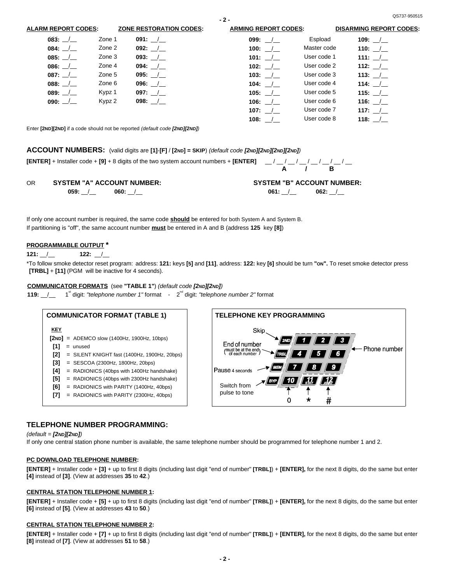**116:** \_\_/\_\_ **116: 117:** \_\_/\_\_ **117: 118:** \_\_/\_\_ **118:**

**- 2 -**

Enter **[2ND][2ND]** if a code should not be reported *(default code [2ND][2ND])*

Kypz 2

## **ACCOUNT NUMBERS:** (valid digits are **[1]**-**[F]** / **[2ND] = SKIP**) *(default code [2ND][2ND][2ND][2ND])*

# **[ENTER]** + Installer code + **[9]** + 8 digits of the two system account numbers + **[ENTER]** \_\_ / \_\_ / \_\_ / \_\_ / \_\_ / \_\_ / \_\_ / \_\_

**098:** \_\_/\_\_ **098:**

| ΟR | <b>SYSTEM "A" ACCOUNT NUMBER:</b> |      |      | <b>SYSTEM "B" ACCOUNT NUMBER:</b> |
|----|-----------------------------------|------|------|-----------------------------------|
|    | 059.                              | :060 | 061: | 062:                              |

If only one account number is required, the same code **should** be entered for both System A and System B. If partitioning is "off", the same account number **must** be entered in A and B (address **125** key **[8]**)

## **PROGRAMMABLE OUTPUT \***

**090:** \_\_/\_\_ **090:**

#### **121:** \_\_/\_\_ **122:** \_\_/\_\_

\*To follow smoke detector reset program: address: 121: keys [5] and [11], address: 122: key [6] should be turn "on". To reset smoke detector press **[TRBL]** + **[11]** (PGM will be inactive for 4 seconds).

**A / B**

User code 6 User code 7 User code 8

**106:** \_\_/\_\_ **106: 107:** \_\_/\_\_ **107: 108:** \_\_/\_\_ **108:**

### COMMUNICATOR FORMATS (see "TABLE 1") (default code [2ND][2ND])

**119:**  $\frac{1}{2}$  1<sup>st</sup> digit: *"telephone number 1"* format - 2<sup>nd</sup> digit: *"telephone number* 2" format



## **TELEPHONE NUMBER PROGRAMMING:**

*(default = [2ND][2ND])*

If only one central station phone number is available, the same telephone number should be programmed for telephone number 1 and 2.

### **PC DOWNLOAD TELEPHONE NUMBER:**

**[ENTER]** + Installer code + **[3]** + up to first 8 digits (including last digit "end of number" **[TRBL]**) + **[ENTER],** for the next 8 digits, do the same but enter **[4]** instead of **[3]**. (View at addresses **35** to **42**.)

### **CENTRAL STATION TELEPHONE NUMBER 1:**

**[ENTER]** + Installer code + **[5]** + up to first 8 digits (including last digit "end of number" **[TRBL]**) + **[ENTER],** for the next 8 digits, do the same but enter **[6]** instead of **[5]**. (View at addresses **43** to **50**.)

### **CENTRAL STATION TELEPHONE NUMBER 2:**

**[ENTER]** + Installer code + **[7]** + up to first 8 digits (including last digit "end of number" **[TRBL]**) + **[ENTER],** for the next 8 digits, do the same but enter **[8]** instead of **[7]**. (View at addresses **51** to **58**.)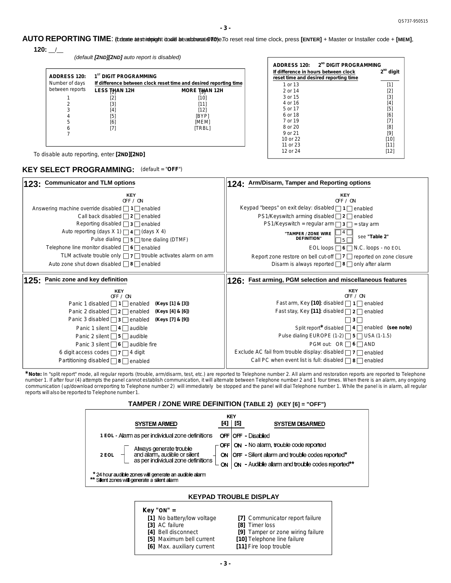**-3-**

AUTO REPORTING TIME: (fcteate asstries pight it double beautotressted Ticher To reset real time clock, press [ENTER] + Master or Installer code + [MEM], **120:** \_\_/\_\_

*(default [2ND][2 ] ND auto report is disabled)*

| <b>ADDRESS 120:</b><br>Number of days |                 | 1 <sup>ST</sup> DIGIT PROGRAMMING<br>If difference between clock reset time and desired reporting time |                      |  |  |
|---------------------------------------|-----------------|--------------------------------------------------------------------------------------------------------|----------------------|--|--|
|                                       | between reports | LESS THAN 12H                                                                                          | <b>MORE THAN 12H</b> |  |  |
|                                       |                 | [2]                                                                                                    | $[10]$               |  |  |
|                                       | 2               | [3]                                                                                                    | [11]                 |  |  |
|                                       | 3               | [4]                                                                                                    | $[12]$               |  |  |
|                                       | 4               | [5]                                                                                                    | [BYP]                |  |  |
|                                       | 5               | [6]                                                                                                    | [MEM]                |  |  |
|                                       | 6               | [7]                                                                                                    | [TRBL]               |  |  |
|                                       |                 |                                                                                                        |                      |  |  |
|                                       |                 |                                                                                                        |                      |  |  |

| 2 <sup>ND</sup> DIGIT PROGRAMMING<br><b>ADDRESS 120:</b> |                                       |  |  |  |
|----------------------------------------------------------|---------------------------------------|--|--|--|
| If difference in hours between clock                     | $2^{ND}$ digit                        |  |  |  |
|                                                          | reset time and desired reporting time |  |  |  |
| 1 or 13                                                  | [1]                                   |  |  |  |
| 2 or 14                                                  | [2]                                   |  |  |  |
| 3 or 15                                                  | [3]                                   |  |  |  |
| 4 or 16                                                  | [4]                                   |  |  |  |
| 5 or 17                                                  | $[5]$                                 |  |  |  |
| 6 or 18                                                  | [6]                                   |  |  |  |
| 7 or 19                                                  | [7]                                   |  |  |  |
| 8 or 20                                                  | [8]                                   |  |  |  |
| 9 or 21                                                  | [9]                                   |  |  |  |
| 10 or 22                                                 | $[10]$                                |  |  |  |
| 11 or 23                                                 | [11]                                  |  |  |  |
| 12 or 24                                                 | [12]                                  |  |  |  |

To disable auto reporting, enter **[2ND][2 ] ND**

### **KEY SELECT PROGRAMMING:** *(default = "OFF")*



\* Note: In "split report" mode, all regular reports (trouble, arm/disarm, test, etc.) are reported to Telephone number 2. All alarm and restoration reports are reported to Telephone number 1. If after four (4) attempts the panel cannot establish communication, it will alternate between Telephone number 2 and 1 four times. When there is an alarm, any ongoing communication (up/download orreporting to Telephone number 2) will immediately be stopped and the panel will dial Telephone number 1. While the panel is in alarm, all regular reports will also be reported to Telephone number 1.



# **Key "ON" =**

| .                          |                                   |  |
|----------------------------|-----------------------------------|--|
| [1] No battery/low voltage | [7] Communicator report failure   |  |
| [3] AC failure             | <b>81 Timer loss</b>              |  |
| [4] Bell disconnect        | [9] Tamper or zone wiring failure |  |
| [5] Maximum bell current   | [10] Telephone line failure       |  |
| [6] Max. auxiliary current | [11] Fire loop trouble            |  |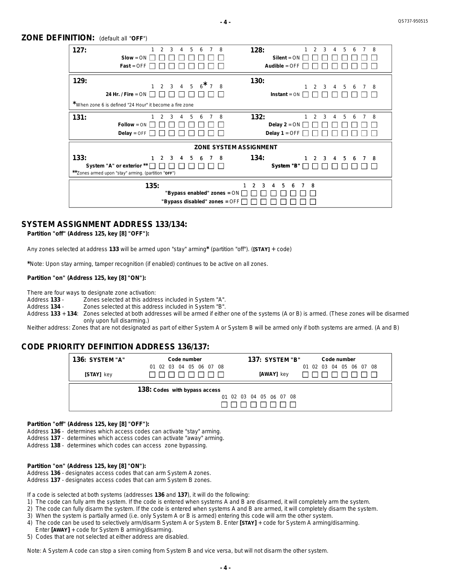**-4-**

| <b>ZONE DEFINITION:</b> (default all "OFF") |  |
|---------------------------------------------|--|
|---------------------------------------------|--|

| 127:<br>$\mathcal{P}$<br>3<br>5<br>4<br>6<br>$Slow = ON$<br>$Fast = OFF$                                                                     | 128:<br>$\overline{2}$<br>3<br>8<br>8<br>5<br>4<br>6<br>$Silent = ON$<br>Audible = $OFF$   |
|----------------------------------------------------------------------------------------------------------------------------------------------|--------------------------------------------------------------------------------------------|
| 129:<br>$2$ 3 4 5 6 $^{\star}$ 7 8<br>$\mathbf{1}$<br>24 Hr. / Fire = $ON$<br>*When zone 6 is defined "24 Hour" it become a fire zone        | 130:<br>-5<br>$\mathcal{P}$<br>$\mathbf{3}$<br>$\overline{4}$<br>78<br>6<br>$Instant = ON$ |
| 131:<br>3<br>5<br>$\overline{7}$<br>4<br>6<br>$Follow = ON$<br>$Delay = OFF$                                                                 | 132:<br>8<br>3<br>5<br>8<br>$\overline{2}$<br>4<br>6<br>Delay $2 = ON$<br>Delay $1 =$ OFF  |
|                                                                                                                                              | <b>ZONE SYSTEM ASSIGNMENT</b>                                                              |
| 133:<br>$2 \quad 3 \quad 4$<br>1<br>56<br>$\overline{7}$<br>System "A" or exterior **<br>**Zones armed upon "stay" arming. (partition "OFF") | 134:<br>$1 \quad 2 \quad 3$<br>4 5<br>-8<br>78<br>6<br>System "B"                          |
| 135:<br>"Bypass enabled" zones = $ON$<br>"Bypass disabled" zones = $\overline{OFF}$                                                          | $\mathcal{P}$<br>3<br>5<br>-8<br>1<br>4<br>6<br>$\overline{7}$                             |

# **SYSTEM ASSIGNMENT ADDRESS 133/134:**

*Partition "off" (Address 125, key [8] "OFF"):*

Any zones selected at address 133 will be armed upon "stay" arming\* (partition "off"). ([STAY] + code)

\*Note: Upon stay arming, tamper recognition (if enabled) continues to be active on all zones.

## *Partition "on" (Address 125, key [8] "ON"):*

There are four ways to designate zone activation:

*133 Address* Zones selected at this address included in System "A".

*134 Address* Zones selected at this address included in System "B".

Address 133 + 134: Zones selected at both addresses will be armed if either one of the systems (A or B) is armed. (These zones will be disarmed only upon full disarming.)

Neither address: Zones that are not designated as part of either System A or System B will be armed only if both systems are armed. (A and B)

# **CODE PRIORITY DEFINITION ADDRESS 136/137:**

| <b>136: SYSTEM "A"</b> | Code number                   | <b>137: SYSTEM "B"</b>  | Code number             |
|------------------------|-------------------------------|-------------------------|-------------------------|
| [STAY] key             | 01 02 03 04 05 06 07 08       | [AWAY] key              | 01 02 03 04 05 06 07 08 |
|                        | 138: Codes with bypass access |                         |                         |
|                        |                               | 01 02 03 04 05 06 07 08 |                         |

#### *Partition "off" (Address 125, key [8] "OFF"):*

Address 136 - determines which access codes can activate "stay" arming.

Address 137 - determines which access codes can activate "away" arming.

Address 138 - determines which codes can access zone bypassing.

### *Partition "on" (Address 125, key [8] "ON"):*

Address 136 - designates access codes that can arm System A zones. Address 137 - designates access codes that can arm System B zones.

If a code is selected at both systems (addresses 136 and 137), it will do the following:

- 1) The code can fully arm the system. If the code is entered when systems A and B are disarmed, it will completely arm the system.
- 2) The code can fully disarm the system. If the code is entered when systems A and B are armed, it will completely disarm the system.
- 3) When the system is partially armed (i.e. only System A or B is armed) entering this code will arm the other system.
- 4) The code can be used to selectively arm/disarm System A or System B. Enter [STAY] + code for System A arming/disarming. Enter [AWAY] + code for System B arming/disarming.
- 5) Codes that are not selected at either address are disabled.

Note: A System A code can stop a siren coming from System B and vice versa, but will not disarm the other system.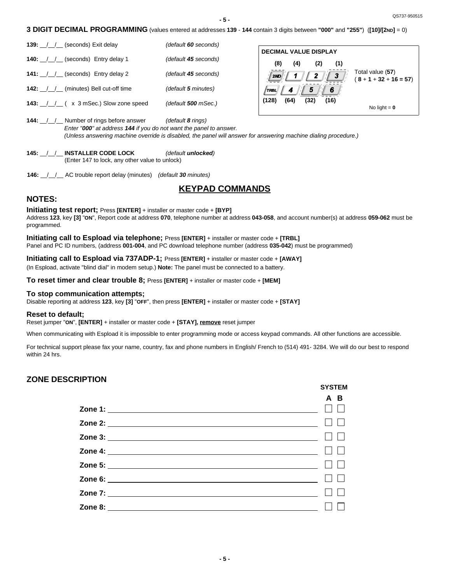**- 5 -**

**3 DIGIT DECIMAL PROGRAMMING** (values entered at addresses **139** - **144** contain 3 digits between **"000"** and **"255"**) (**[10]/[2ND]** = 0)

**139:** \_\_/\_\_/\_\_ (seconds) Exit delay *(default 60 seconds)* **140:** \_\_/\_\_/\_\_ (seconds) Entry delay 1 *(default 45 seconds)* **141:** \_\_/\_\_/\_\_ (seconds) Entry delay 2 *(default 45 seconds)* **142:** \_\_/\_\_/\_\_ (minutes) Bell cut-off time *(default 5 minutes)* **143:** \_\_/\_\_/\_\_ ( x 3 mSec.) Slow zone speed *(default 500 mSec.)*

| <b>DECIMAL VALUE DISPLAY</b> |      |      |      |                                              |
|------------------------------|------|------|------|----------------------------------------------|
| (8)                          | (4)  | (2)  | (1)  |                                              |
|                              |      |      |      | Total value (57)<br>$(8 + 1 + 32 + 16 = 57)$ |
| 733)                         |      |      |      |                                              |
| (128)                        | (64) | (32) | (16) |                                              |
|                              |      |      |      | No light $= 0$                               |

**SYSTEM**

**144:** \_\_/\_\_/\_\_ Number of rings before answer *(default 8 rings) Enter "000" at address 144 if you do not want the panel to answer. (Unless answering machine override is disabled, the panel will answer for answering machine dialing procedure.)*

**145:** \_\_/\_\_/\_\_ **INSTALLER CODE LOCK** *(default unlocked)* (Enter 147 to lock, any other value to unlock)

**146:** \_\_/\_\_/\_\_ AC trouble report delay (minutes) *(default 30 minutes)* **146:** \_\_/\_\_/\_\_ AC trouble report delay (minutes)

# **KEYPAD COMMANDS**

# **NOTES:**

**Initiating test report;** Press **[ENTER]** + installer or master code + **[BYP]** Address **123**, key **[3]** "**ON**", Report code at address **070**, telephone number at address **043-058**, and account number(s) at address **059-062** must be programmed.

**Initiating call to Espload via telephone;** Press **[ENTER]** + installer or master code + **[TRBL]** Panel and PC ID numbers, (address **001-004**, and PC download telephone number (address **035-042**) must be programmed)

### **Initiating call to Espload via 737ADP-1;** Press **[ENTER]** + installer or master code + **[AWAY]**

(In Espload, activate "blind dial" in modem setup.) **Note:** The panel must be connected to a battery.

**To reset timer and clear trouble 8;** Press **[ENTER]** + installer or master code + **[MEM]**

## **To stop communication attempts;**

Disable reporting at address **123**, key **[3]** "**OFF**", then press **[ENTER]** + installer or master code + **[STAY]**

### **Reset to default;**

Reset jumper "**ON**", **[ENTER]** + installer or master code + **[STAY], remove** reset jumper

When communicating with Espload it is impossible to enter programming mode or access keypad commands. All other functions are accessible.

For technical support please fax your name, country, fax and phone numbers in English/ French to (514) 491- 3284. We will do our best to respond within 24 hrs.

# **ZONE DESCRIPTION**

| ------ |
|--------|
| A B    |
|        |
|        |
|        |
|        |
|        |
|        |
|        |
|        |
|        |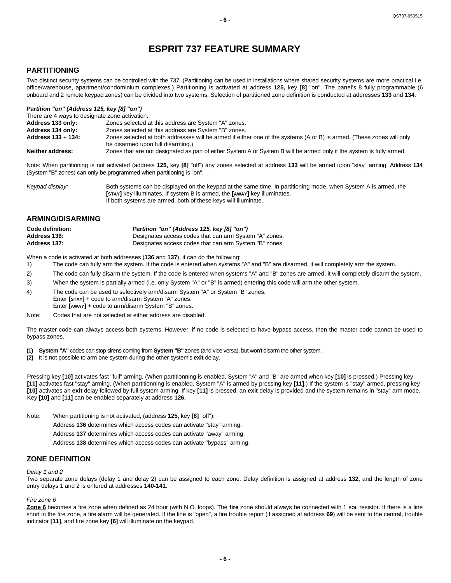# **ESPRIT 737 FEATURE SUMMARY**

# **PARTITIONING**

Two distinct security systems can be controlled with the 737. (Partitioning can be used in installations where shared security systems are more practical i.e. office/warehouse, apartment/condominium complexes.) Partitioning is activated at address **125,** key **[8]** "on". The panel's 8 fully programmable (6 onboard and 2 remote keypad zones) can be divided into two systems. Selection of partitioned zone definition is conducted at addresses **133** and **134**.

#### *Partition "on" (Address 125, key [8] "on")*

| There are 4 ways to designate zone activation: |                                                                                                                       |
|------------------------------------------------|-----------------------------------------------------------------------------------------------------------------------|
| Address 133 only:                              | Zones selected at this address are System "A" zones.                                                                  |
| Address 134 only:                              | Zones selected at this address are System "B" zones.                                                                  |
| Address 133 + 134:                             | Zones selected at both addresses will be armed if either one of the systems (A or B) is armed. (These zones will only |
|                                                | be disarmed upon full disarming.)                                                                                     |
| <b>Neither address:</b>                        | Zones that are not designated as part of either System A or System B will be armed only if the system is fully armed. |

Note: When partitioning is not activated (address **125,** key **[8]** "off") any zones selected at address **133** will be armed upon "stay" arming. Address **134** (System "B" zones) can only be programmed when partitioning is "on".

| Keypad display: | Both systems can be displayed on the keypad at the same time. In partitioning mode, when System A is armed, the |
|-----------------|-----------------------------------------------------------------------------------------------------------------|
|                 | [STAY] key illuminates. If system B is armed, the [AWAY] key illuminates.                                       |
|                 | If both systems are armed, both of these keys will illuminate.                                                  |

# **ARMING/DISARMING**

| Code definition: | Partition "on" (Address 125, key [8] "on")             |
|------------------|--------------------------------------------------------|
| Address 136:     | Designates access codes that can arm System "A" zones. |
| Address 137:     | Designates access codes that can arm System "B" zones. |

When a code is activated at both addresses (**136** and **137**), it can do the following:

- 1) The code can fully arm the system. If the code is entered when systems "A" and "B" are disarmed, it will completely arm the system.
- 2) The code can fully disarm the system. If the code is entered when systems "A" and "B" zones are armed, it will completely disarm the system.
- 3) When the system is partially armed (i.e. only System "A" or "B" is armed) entering this code will arm the other system.
- 4) The code can be used to selectively arm/disarm System "A" or System "B" zones.
- Enter **[STAY]** + code to arm/disarm System "A" zones.
- Enter **[AWAY]** + code to arm/disarm System "B" zones.
- Note: Codes that are not selected at either address are disabled.

The master code can always access both systems. However, if no code is selected to have bypass access, then the master code cannot be used to bypass zones.

**(1) System "A"** codes can stop sirens coming from **System "B"** zones (and vice versa), but won't disarm the other system.

**(2)** It is not possible to arm one system during the other system's **exit** delay.

Pressing key [10] activates fast "full" arming. (When partitionning is enabled, System "A" and "B" are armed when key [10] is pressed.) Pressing key [11] activates fast "stay" arming. (When partitionning is enabled, System "A" is armed by pressing key [11].) If the system is "stay" armed, pressing key [10] activates an exit delay followed by full system arming. If key [11] is pressed, an exit delay is provided and the system remains in "stay" arm mode. Key **[10]** and **[11]** can be enabled separately at address **126.** Key **[10]** and **[11]** can be enabled separately at address **126.**

- Note: When partitioning is not activated, (address **125,** key **[8]** "off"):
	- Address **136** determines which access codes can activate "stay" arming.
	- Address **137** determines which access codes can activate "away" arming.
	- Address **138** determines which access codes can activate "bypass" arming.

## **ZONE DEFINITION**

#### *Delay 1 and 2*

Two separate zone delays (delay 1 and delay 2) can be assigned to each zone. Delay definition is assigned at address **132**, and the length of zone entry delays 1 and 2 is entered at addresses **140-141**.

#### *Fire zone 6*

**Zone 6** becomes a fire zone when defined as 24 hour (with N.O. loops). The **fire** zone should always be connected with 1 **EOL** resistor. If there is a line short in the fire zone, a fire alarm will be generated. If the line is "open", a fire trouble report (if assigned at address **69**) will be sent to the central, trouble indicator **[11]**, and fire zone key **[6]** will illuminate on the keypad.